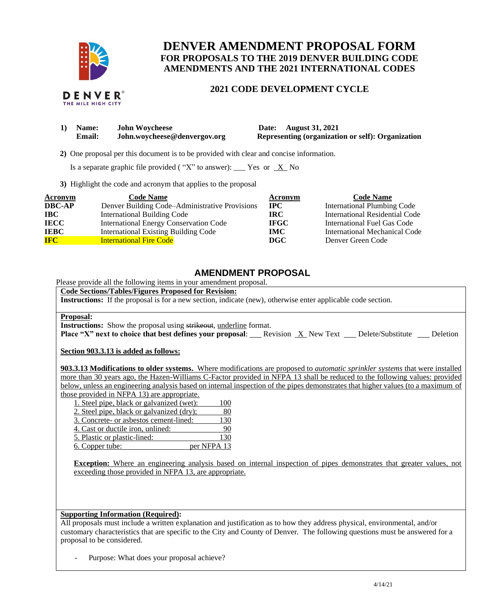

# **DENVER AMENDMENT PROPOSAL FORM FOR PROPOSALS TO THE 2019 DENVER BUILDING CODE AMENDMENTS AND THE 2021 INTERNATIONAL CODES**

## **2021 CODE DEVELOPMENT CYCLE**

|  | DENVER®            |  |
|--|--------------------|--|
|  | THE MILE HIGH CITY |  |

| <b>Name:</b>  | <b>John Woycheese</b>        | Date: August 31, 2021                             |
|---------------|------------------------------|---------------------------------------------------|
| <b>Email:</b> | John.woycheese@denvergov.org | Representing (organization or self): Organization |

 **2)** One proposal per this document is to be provided with clear and concise information.

Is a separate graphic file provided ("X" to answer): \_\_\_ Yes or  $X$  No

**3)** Highlight the code and acronym that applies to the proposal

| <b>Acronym</b> | <b>Code Name</b>                               | Acronym     | <b>Code Name</b>               |
|----------------|------------------------------------------------|-------------|--------------------------------|
| <b>DBC-AP</b>  | Denver Building Code-Administrative Provisions | <b>IPC</b>  | International Plumbing Code    |
| <b>IBC</b>     | <b>International Building Code</b>             | <b>IRC</b>  | International Residential Code |
| <b>IECC</b>    | <b>International Energy Conservation Code</b>  | <b>IFGC</b> | International Fuel Gas Code    |
| <b>IEBC</b>    | <b>International Existing Building Code</b>    | <b>IMC</b>  | International Mechanical Code  |
| <b>IFC</b>     | <b>International Fire Code</b>                 | DGC         | Denver Green Code              |

## **AMENDMENT PROPOSAL**

Please provide all the following items in your amendment proposal.

### **Code Sections/Tables/Figures Proposed for Revision:**

**Instructions:** If the proposal is for a new section, indicate (new), otherwise enter applicable code section.

#### **Proposal:**

**Instructions:** Show the proposal using strikeout, underline format.

**Place "X" next to choice that best defines your proposal:** Revision X New Text Delete/Substitute Deletion

**Section 903.3.13 is added as follows:**

**903.3.13 Modifications to older systems.** Where modifications are proposed to *automatic sprinkler systems* that were installed more than 30 years ago, the Hazen-Williams C-Factor provided in NFPA 13 shall be reduced to the following values: provided below, unless an engineering analysis based on internal inspection of the pipes demonstrates that higher values (to a maximum of those provided in NFPA 13) are appropriate.

| $\frac{1}{2}$ or $\frac{1}{2}$ and $\frac{1}{2}$ and $\frac{1}{2}$ are appropriate. |             |
|-------------------------------------------------------------------------------------|-------------|
| 1. Steel pipe, black or galvanized (wet):                                           | 100         |
| 2. Steel pipe, black or galvanized (dry);                                           | 80          |
| 3. Concrete- or asbestos cement-lined:                                              | 130         |
| 4. Cast or ductile iron, unlined:                                                   | 90          |
| 5. Plastic or plastic-lined:                                                        | 130         |
| 6. Copper tube:                                                                     | per NFPA 13 |
|                                                                                     |             |

**Exception:** Where an engineering analysis based on internal inspection of pipes demonstrates that greater values, not exceeding those provided in NFPA 13, are appropriate.

#### **Supporting Information (Required):**

All proposals must include a written explanation and justification as to how they address physical, environmental, and/or customary characteristics that are specific to the City and County of Denver. The following questions must be answered for a proposal to be considered.

Purpose: What does your proposal achieve?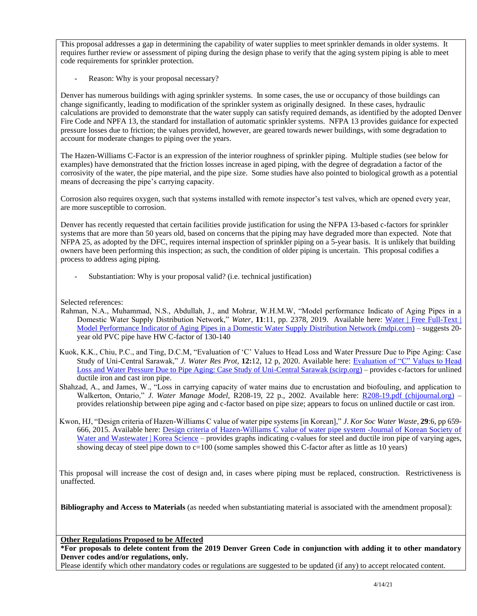This proposal addresses a gap in determining the capability of water supplies to meet sprinkler demands in older systems. It requires further review or assessment of piping during the design phase to verify that the aging system piping is able to meet code requirements for sprinkler protection.

Reason: Why is your proposal necessary?

Denver has numerous buildings with aging sprinkler systems. In some cases, the use or occupancy of those buildings can change significantly, leading to modification of the sprinkler system as originally designed. In these cases, hydraulic calculations are provided to demonstrate that the water supply can satisfy required demands, as identified by the adopted Denver Fire Code and NPFA 13, the standard for installation of automatic sprinkler systems. NFPA 13 provides guidance for expected pressure losses due to friction; the values provided, however, are geared towards newer buildings, with some degradation to account for moderate changes to piping over the years.

The Hazen-Williams C-Factor is an expression of the interior roughness of sprinkler piping. Multiple studies (see below for examples) have demonstrated that the friction losses increase in aged piping, with the degree of degradation a factor of the corrosivity of the water, the pipe material, and the pipe size. Some studies have also pointed to biological growth as a potential means of decreasing the pipe's carrying capacity.

Corrosion also requires oxygen, such that systems installed with remote inspector's test valves, which are opened every year, are more susceptible to corrosion.

Denver has recently requested that certain facilities provide justification for using the NFPA 13-based c-factors for sprinkler systems that are more than 50 years old, based on concerns that the piping may have degraded more than expected. Note that NFPA 25, as adopted by the DFC, requires internal inspection of sprinkler piping on a 5-year basis. It is unlikely that building owners have been performing this inspection; as such, the condition of older piping is uncertain. This proposal codifies a process to address aging piping.

- Substantiation: Why is your proposal valid? (i.e. technical justification)

Selected references:

- Rahman, N.A., Muhammad, N.S., Abdullah, J., and Mohrar, W.H.M.W, "Model performance Indicato of Aging Pipes in a Domestic Water Supply Distribution Network," Water, 11:11, pp. 2378, 2019. Available here: Water | Free Full-Text | [Model Performance Indicator of Aging Pipes in a Domestic Water Supply Distribution Network \(mdpi.com\)](https://www.mdpi.com/2073-4441/11/11/2378) – suggests 20 year old PVC pipe have HW C-factor of 130-140
- Kuok, K.K., Chiu, P.C., and Ting, D.C.M, "Evaluation of 'C' Values to Head Loss and Water Pressure Due to Pipe Aging: Case Study of Uni-Central Sarawak," *J. Water Res Prot*, **12:**12, 12 p, 2020. Available here: [Evaluation of "C" Values to Head](https://www.scirp.org/html/5-9404058_106030.htm)  [Loss and Water Pressure Due to Pipe Aging: Case Study of Uni-Central Sarawak \(scirp.org\)](https://www.scirp.org/html/5-9404058_106030.htm) – provides c-factors for unlined ductile iron and cast iron pipe.
- Shahzad, A., and James, W., "Loss in carrying capacity of water mains due to encrustation and biofouling, and application to Walkerton, Ontario," *J. Water Manage Model*, R208-19, 22 p., 2002. Available here: [R208-19.pdf \(chijournal.org\)](https://www.chijournal.org/Content/Files/R208-19.pdf) – provides relationship between pipe aging and c-factor based on pipe size; appears to focus on unlined ductile or cast iron.
- Kwon, HJ, "Design criteria of Hazen-Williams C value of water pipe systems [in Korean]," *J. Kor Soc Water Waste*, **29**:6, pp 659- 666, 2015. Available here: [Design criteria of Hazen-Williams C value of water pipe system -Journal of Korean Society of](https://www.koreascience.or.kr/article/JAKO201502151147999.page)  [Water and Wastewater | Korea Science](https://www.koreascience.or.kr/article/JAKO201502151147999.page) – provides graphs indicating c-values for steel and ductile iron pipe of varying ages, showing decay of steel pipe down to c=100 (some samples showed this C-factor after as little as 10 years)

This proposal will increase the cost of design and, in cases where piping must be replaced, construction. Restrictiveness is unaffected.

**Bibliography and Access to Materials** (as needed when substantiating material is associated with the amendment proposal):

**Other Regulations Proposed to be Affected**

**\*For proposals to delete content from the 2019 Denver Green Code in conjunction with adding it to other mandatory Denver codes and/or regulations, only.**

Please identify which other mandatory codes or regulations are suggested to be updated (if any) to accept relocated content.